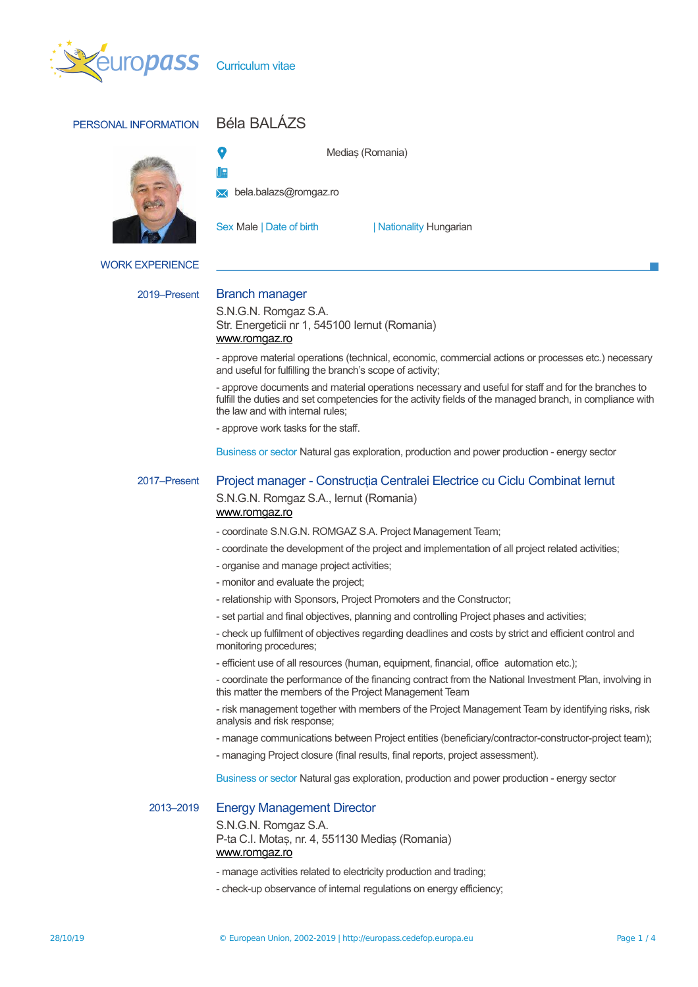

# PERSONAL INFORMATION Béla BALÁZS



# Medias (Romania)

**IR** 

**bela.balazs@romgaz.ro** 

Sex Male | Date of birth | Nationality Hungarian

WORK EXPERIENCE

# 2019–Present Branch manager

S.N.G.N. Romgaz S.A. Str. Energeticii nr 1, 545100 Iernut (Romania) [www.romgaz.ro](http://www.romgaz.ro/)

- approve material operations (technical, economic, commercial actions or processes etc.) necessary and useful for fulfilling the branch's scope of activity;

- approve documents and material operations necessary and useful for staff and for the branches to fulfill the duties and set competencies for the activity fields of the managed branch, in compliance with the law and with internal rules;

- approve work tasks for the staff.

Business or sector Natural gas exploration, production and power production - energy sector

## 2017–Present Project manager - Construcția Centralei Electrice cu Ciclu Combinat Iernut S.N.G.N. Romgaz S.A., Iernut (Romania) [www.romgaz.ro](http://www.romgaz.ro/)

- coordinate S.N.G.N. ROMGAZ S.A. Project Management Team;

- coordinate the development of the project and implementation of all project related activities;
- organise and manage project activities;
- monitor and evaluate the project;
- relationship with Sponsors, Project Promoters and the Constructor;
- set partial and final objectives, planning and controlling Project phases and activities;

- check up fulfilment of objectives regarding deadlines and costs by strict and efficient control and monitoring procedures;

- efficient use of all resources (human, equipment, financial, office automation etc.);

- coordinate the performance of the financing contract from the National Investment Plan, involving in this matter the members of the Project Management Team

- risk management together with members of the Project Management Team by identifying risks, risk analysis and risk response;

- manage communications between Project entities (beneficiary/contractor-constructor-project team);
- managing Project closure (final results, final reports, project assessment).

Business or sector Natural gas exploration, production and power production - energy sector

### 2013–2019 Energy Management Director

S.N.G.N. Romgaz S.A. P-ta C.I. Motaș, nr. 4, 551130 Mediaș (Romania) [www.romgaz.ro](http://www.romgaz.ro/)

- manage activities related to electricity production and trading;
- check-up observance of internal regulations on energy efficiency;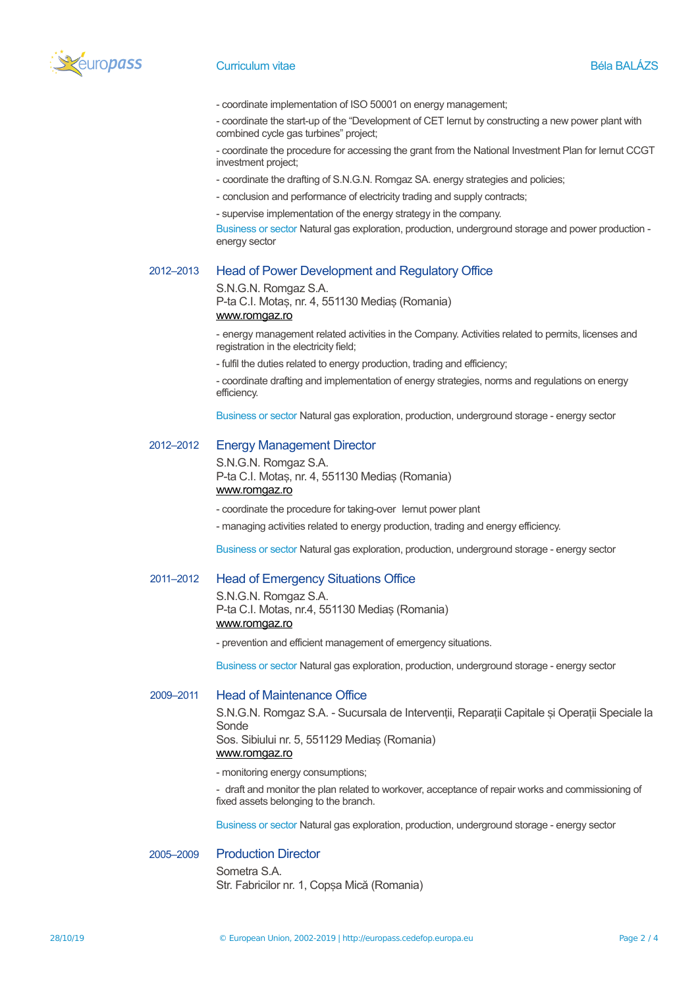

#### Curriculum vitae and the Béla BALÁZS Development of the Béla BALÁZS

- coordinate implementation of ISO 50001 on energy management;

- coordinate the start-up of the "Development of CET Iernut by constructing a new power plant with combined cycle gas turbines" project;

- coordinate the procedure for accessing the grant from the National Investment Plan for Iernut CCGT investment project;

- coordinate the drafting of S.N.G.N. Romgaz SA. energy strategies and policies;
- conclusion and performance of electricity trading and supply contracts;
- supervise implementation of the energy strategy in the company.

Business or sector Natural gas exploration, production, underground storage and power production energy sector

#### 2012–2013 Head of Power Development and Regulatory Office

#### S.N.G.N. Romgaz S.A.

P-ta C.I. Motaș, nr. 4, 551130 Mediaș (Romania) [www.romgaz.ro](http://www.romgaz.ro/)

- energy management related activities in the Company. Activities related to permits, licenses and registration in the electricity field;

- fulfil the duties related to energy production, trading and efficiency;

- coordinate drafting and implementation of energy strategies, norms and regulations on energy efficiency.

Business or sector Natural gas exploration, production, underground storage - energy sector

### 2012–2012 Energy Management Director

S.N.G.N. Romgaz S.A. P-ta C.I. Motaș, nr. 4, 551130 Mediaș (Romania) [www.romgaz.ro](http://www.romgaz.ro/)

- coordinate the procedure for taking-over Iernut power plant
- managing activities related to energy production, trading and energy efficiency.

Business or sector Natural gas exploration, production, underground storage - energy sector

#### 2011–2012 Head of Emergency Situations Office

S.N.G.N. Romgaz S.A. P-ta C.I. Motas, nr.4, 551130 Medias (Romania) [www.romgaz.ro](http://www.romgaz.ro/)

- prevention and efficient management of emergency situations.

Business or sector Natural gas exploration, production, underground storage - energy sector

#### 2009–2011 Head of Maintenance Office

S.N.G.N. Romgaz S.A. - Sucursala de Interventii, Reparatii Capitale și Operatii Speciale la Sonde Sos. Sibiului nr. 5, 551129 Medias (Romania) [www.romgaz.ro](http://www.romgaz.ro/)

- monitoring energy consumptions;

- draft and monitor the plan related to workover, acceptance of repair works and commissioning of fixed assets belonging to the branch.

Business or sector Natural gas exploration, production, underground storage - energy sector

# 2005–2009 Production Director

Sometra S.A. Str. Fabricilor nr. 1, Copșa Mică (Romania)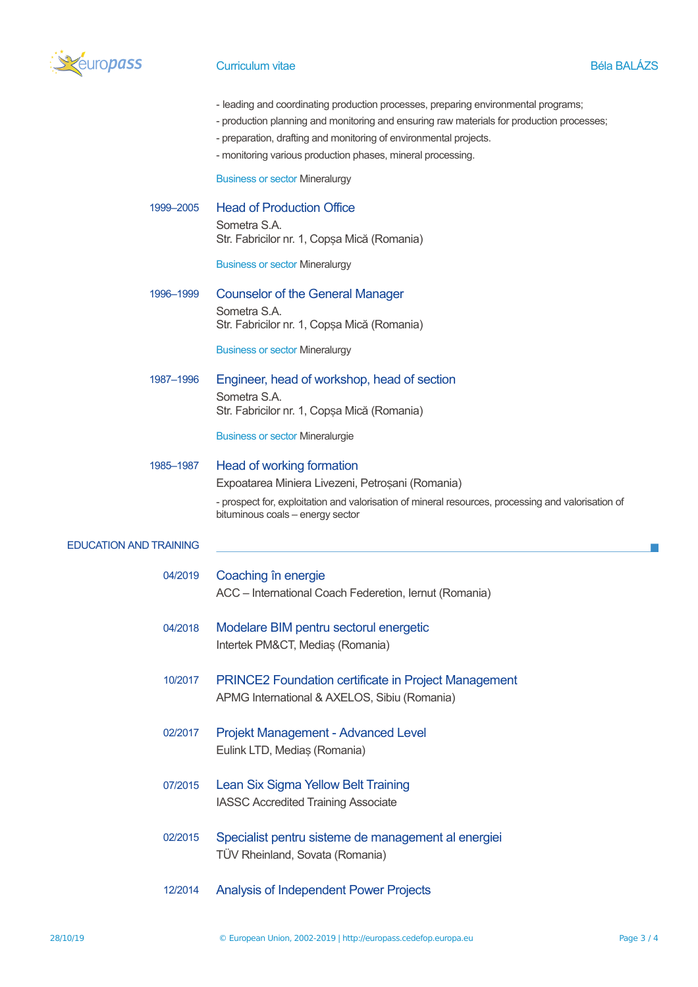

### Curriculum vitae **Béla BALÁZS**

- leading and coordinating production processes, preparing environmental programs;
- production planning and monitoring and ensuring raw materials for production processes;
- preparation, drafting and monitoring of environmental projects.
- monitoring various production phases, mineral processing.

Business or sector Mineralurgy

1999–2005 Head of Production Office Sometra S.A. Str. Fabricilor nr. 1, Copsa Mică (Romania)

Business or sector Mineralurgy

1996–1999 Counselor of the General Manager Sometra S.A. Str. Fabricilor nr. 1, Copșa Mică (Romania)

Business or sector Mineralurgy

1987–1996 Engineer, head of workshop, head of section Sometra S.A. Str. Fabricilor nr. 1, Copșa Mică (Romania)

Business or sector Mineralurgie

# 1985–1987 Head of working formation Expoatarea Miniera Livezeni, Petroșani (Romania) - prospect for, exploitation and valorisation of mineral resources, processing and valorisation of

bituminous coals – energy sector

#### EDUCATION AND TRAINING

- 04/2019 Coaching în energie ACC – International Coach Federetion, Iernut (Romania)
- 04/2018 Modelare BIM pentru sectorul energetic Intertek PM&CT, Medias (Romania)
- 10/2017 PRINCE2 Foundation certificate in Project Management APMG International & AXELOS, Sibiu (Romania)
- 02/2017 Projekt Management Advanced Level Eulink LTD, Mediaș (Romania)
- 07/2015 Lean Six Sigma Yellow Belt Training IASSC Accredited Training Associate
- 02/2015 Specialist pentru sisteme de management al energiei TÜV Rheinland, Sovata (Romania)
- 12/2014 Analysis of Independent Power Projects